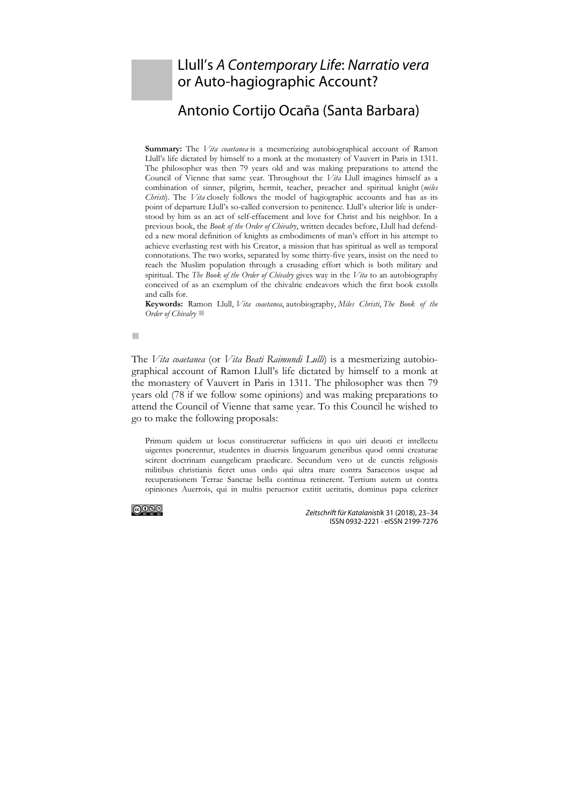## Llull's *A Contemporary Life*: *Narratio vera* or Auto-hagiographic Account?

## Antonio Cortijo Ocaña (Santa Barbara)

**Summary:** The *Vita coaetanea* is a mesmerizing autobiographical account of Ramon Llull's life dictated by himself to a monk at the monastery of Vauvert in Paris in 1311. The philosopher was then 79 years old and was making preparations to attend the Council of Vienne that same year. Throughout the *Vita* Llull imagines himself as a combination of sinner, pilgrim, hermit, teacher, preacher and spiritual knight (*miles Christi*). The *Vita* closely follows the model of hagiographic accounts and has as its point of departure Llull's so-called conversion to penitence. Llull's ulterior life is understood by him as an act of self-effacement and love for Christ and his neighbor. In a previous book, the *Book of the Order of Chivalry*, written decades before, Llull had defended a new moral definition of knights as embodiments of man's effort in his attempt to achieve everlasting rest with his Creator, a mission that has spiritual as well as temporal connotations. The two works, separated by some thirty-five years, insist on the need to reach the Muslim population through a crusading effort which is both military and spiritual. The *The Book of the Order of Chivalry* gives way in the *Vita* to an autobiography conceived of as an exemplum of the chivalric endeavors which the first book extolls and calls for.

**Keywords:** Ramon Llull, *Vita coaetanea*, autobiography, *Miles Christi*, *The Book of the Order of Chivalry*

a.

The *Vita coaetanea* (or *Vita Beati Raimundi Lulli*) is a mesmerizing autobiographical account of Ramon Llull's life dictated by himself to a monk at the monastery of Vauvert in Paris in 1311. The philosopher was then 79 years old (78 if we follow some opinions) and was making preparations to attend the Council of Vienne that same year. To this Council he wished to go to make the following proposals:

Primum quidem ut locus constitueretur sufficiens in quo uiri deuoti et intellectu uigentes ponerentur, studentes in diuersis linguarum generibus quod omni creaturae scirent doctrinam euangelicam praedicare. Secundum vero ut de cunctis religiosis militibus christianis fieret unus ordo qui ultra mare contra Saracenos usque ad recuperationem Terrae Sanctae bella continua retinerent. Tertium autem ut contra opiniones Auerrois, qui in multis peruersor extitit ueritatis, dominus papa celeriter



*Zeitschrift für Katalanistik* 31 (2018), 23–34 ISSN 0932-2221 · eISSN 2199-7276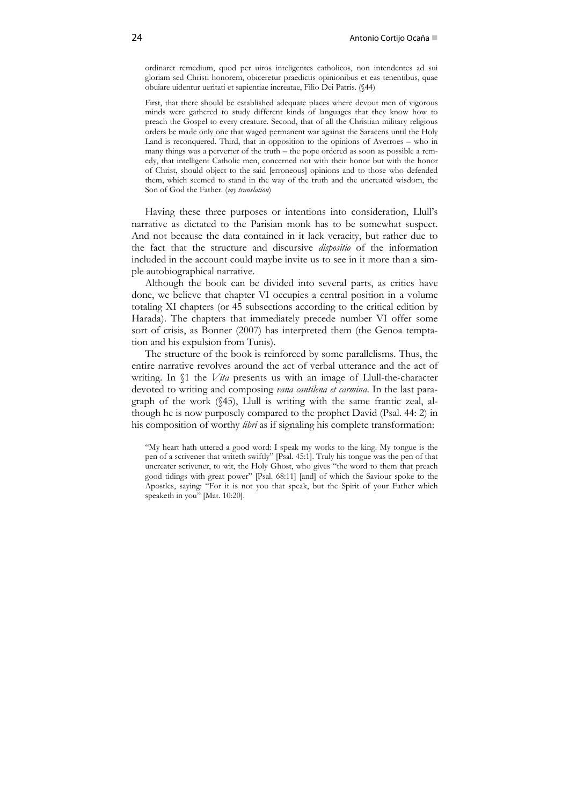ordinaret remedium, quod per uiros inteligentes catholicos, non intendentes ad sui gloriam sed Christi honorem, obiceretur praedictis opinionibus et eas tenentibus, quae obuiare uidentur ueritati et sapientiae increatae, Filio Dei Patris. (§44)

First, that there should be established adequate places where devout men of vigorous minds were gathered to study different kinds of languages that they know how to preach the Gospel to every creature. Second, that of all the Christian military religious orders be made only one that waged permanent war against the Saracens until the Holy Land is reconquered. Third, that in opposition to the opinions of Averroes – who in many things was a perverter of the truth – the pope ordered as soon as possible a remedy, that intelligent Catholic men, concerned not with their honor but with the honor of Christ, should object to the said [erroneous] opinions and to those who defended them, which seemed to stand in the way of the truth and the uncreated wisdom, the Son of God the Father. (*my translation*)

Having these three purposes or intentions into consideration, Llull's narrative as dictated to the Parisian monk has to be somewhat suspect. And not because the data contained in it lack veracity, but rather due to the fact that the structure and discursive *dispositio* of the information included in the account could maybe invite us to see in it more than a simple autobiographical narrative.

Although the book can be divided into several parts, as critics have done, we believe that chapter VI occupies a central position in a volume totaling XI chapters (or 45 subsections according to the critical edition by Harada). The chapters that immediately precede number VI offer some sort of crisis, as Bonner (2007) has interpreted them (the Genoa temptation and his expulsion from Tunis).

The structure of the book is reinforced by some parallelisms. Thus, the entire narrative revolves around the act of verbal utterance and the act of writing. In §1 the *Vita* presents us with an image of Llull-the-character devoted to writing and composing *vana cantilena et carmina*. In the last paragraph of the work (§45), Llull is writing with the same frantic zeal, although he is now purposely compared to the prophet David (Psal. 44: 2) in his composition of worthy *libri* as if signaling his complete transformation:

"My heart hath uttered a good word: I speak my works to the king. My tongue is the pen of a scrivener that writeth swiftly" [Psal. 45:1]. Truly his tongue was the pen of that uncreater scrivener, to wit, the Holy Ghost, who gives "the word to them that preach good tidings with great power" [Psal. 68:11] [and] of which the Saviour spoke to the Apostles, saying: "For it is not you that speak, but the Spirit of your Father which speaketh in you" [Mat. 10:20].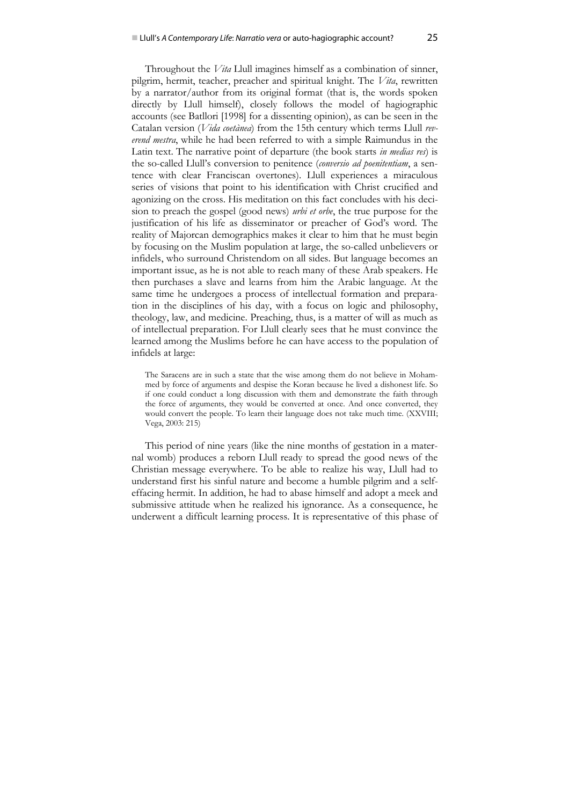Throughout the *Vita* Llull imagines himself as a combination of sinner, pilgrim, hermit, teacher, preacher and spiritual knight. The *Vita*, rewritten by a narrator/author from its original format (that is, the words spoken directly by Llull himself), closely follows the model of hagiographic accounts (see Batllori [1998] for a dissenting opinion), as can be seen in the Catalan version (*Vida coetànea*) from the 15th century which terms Llull *reverend mestra*, while he had been referred to with a simple Raimundus in the Latin text. The narrative point of departure (the book starts *in medias res*) is the so-called Llull's conversion to penitence (*conversio ad poenitentiam*, a sentence with clear Franciscan overtones). Llull experiences a miraculous series of visions that point to his identification with Christ crucified and agonizing on the cross. His meditation on this fact concludes with his decision to preach the gospel (good news) *urbi et orbe*, the true purpose for the justification of his life as disseminator or preacher of God's word. The reality of Majorcan demographics makes it clear to him that he must begin by focusing on the Muslim population at large, the so-called unbelievers or infidels, who surround Christendom on all sides. But language becomes an important issue, as he is not able to reach many of these Arab speakers. He then purchases a slave and learns from him the Arabic language. At the same time he undergoes a process of intellectual formation and preparation in the disciplines of his day, with a focus on logic and philosophy, theology, law, and medicine. Preaching, thus, is a matter of will as much as of intellectual preparation. For Llull clearly sees that he must convince the learned among the Muslims before he can have access to the population of infidels at large:

The Saracens are in such a state that the wise among them do not believe in Mohammed by force of arguments and despise the Koran because he lived a dishonest life. So if one could conduct a long discussion with them and demonstrate the faith through the force of arguments, they would be converted at once. And once converted, they would convert the people. To learn their language does not take much time. (XXVIII; Vega, 2003: 215)

This period of nine years (like the nine months of gestation in a maternal womb) produces a reborn Llull ready to spread the good news of the Christian message everywhere. To be able to realize his way, Llull had to understand first his sinful nature and become a humble pilgrim and a selfeffacing hermit. In addition, he had to abase himself and adopt a meek and submissive attitude when he realized his ignorance. As a consequence, he underwent a difficult learning process. It is representative of this phase of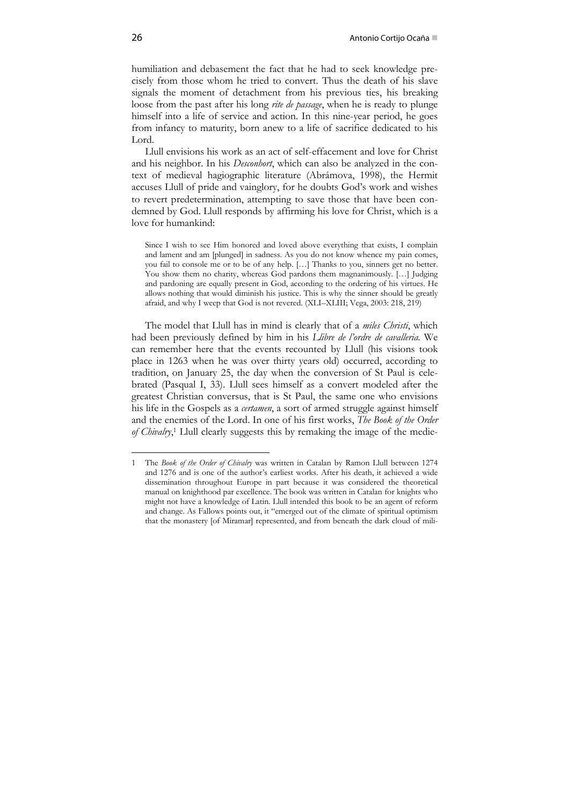humiliation and debasement the fact that he had to seek knowledge precisely from those whom he tried to convert. Thus the death of his slave signals the moment of detachment from his previous ties, his breaking loose from the past after his long *rite de passage*, when he is ready to plunge himself into a life of service and action. In this nine-year period, he goes from infancy to maturity, born anew to a life of sacrifice dedicated to his Lord.

Llull envisions his work as an act of self-effacement and love for Christ and his neighbor. In his *Desconhort*, which can also be analyzed in the context of medieval hagiographic literature (Abrámova, 1998), the Hermit accuses Llull of pride and vainglory, for he doubts God's work and wishes to revert predetermination, attempting to save those that have been condemned by God. Llull responds by affirming his love for Christ, which is a love for humankind:

Since I wish to see Him honored and loved above everything that exists, I complain and lament and am [plunged] in sadness. As you do not know whence my pain comes, you fail to console me or to be of any help. […] Thanks to you, sinners get no better. You show them no charity, whereas God pardons them magnanimously. […] Judging and pardoning are equally present in God, according to the ordering of his virtues. He allows nothing that would diminish his justice. This is why the sinner should be greatly afraid, and why I weep that God is not revered. (XLI–XLIII; Vega, 2003: 218, 219)

The model that Llull has in mind is clearly that of a *miles Christi*, which had been previously defined by him in his *Llibre de l'ordre de cavalleria.* We can remember here that the events recounted by Llull (his visions took place in 1263 when he was over thirty years old) occurred, according to tradition, on January 25, the day when the conversion of St Paul is celebrated (Pasqual I, 33). Llull sees himself as a convert modeled after the greatest Christian conversus, that is St Paul, the same one who envisions his life in the Gospels as a *certamen*, a sort of armed struggle against himself and the enemies of the Lord. In one of his first works, *The Book of the Order* of Chivalry,<sup>1</sup> Llull clearly suggests this by remaking the image of the medie-

1

<sup>1</sup> The *Book of the Order of Chivalry* was written in Catalan by Ramon Llull between 1274 and 1276 and is one of the author's earliest works. After his death, it achieved a wide dissemination throughout Europe in part because it was considered the theoretical manual on knighthood par excellence. The book was written in Catalan for knights who might not have a knowledge of Latin. Llull intended this book to be an agent of reform and change. As Fallows points out, it "emerged out of the climate of spiritual optimism that the monastery [of Miramar] represented, and from beneath the dark cloud of mili-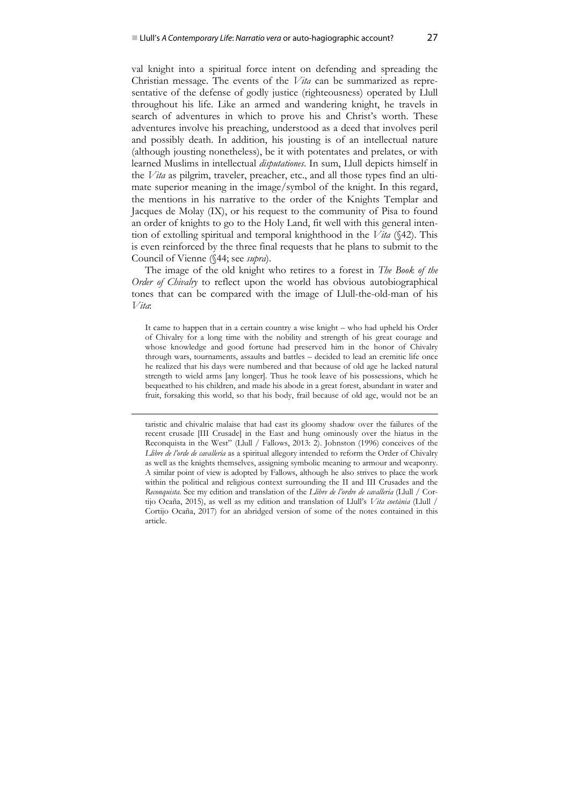val knight into a spiritual force intent on defending and spreading the Christian message. The events of the *Vita* can be summarized as representative of the defense of godly justice (righteousness) operated by Llull throughout his life. Like an armed and wandering knight, he travels in search of adventures in which to prove his and Christ's worth. These adventures involve his preaching, understood as a deed that involves peril and possibly death. In addition, his jousting is of an intellectual nature (although jousting nonetheless), be it with potentates and prelates, or with learned Muslims in intellectual *disputationes*. In sum, Llull depicts himself in the *Vita* as pilgrim, traveler, preacher, etc., and all those types find an ultimate superior meaning in the image/symbol of the knight. In this regard, the mentions in his narrative to the order of the Knights Templar and Jacques de Molay (IX), or his request to the community of Pisa to found an order of knights to go to the Holy Land, fit well with this general intention of extolling spiritual and temporal knighthood in the *Vita* (§42). This is even reinforced by the three final requests that he plans to submit to the Council of Vienne (§44; see *supra*).

The image of the old knight who retires to a forest in *The Book of the Order of Chivalry* to reflect upon the world has obvious autobiographical tones that can be compared with the image of Llull-the-old-man of his *Vita*:

It came to happen that in a certain country a wise knight – who had upheld his Order of Chivalry for a long time with the nobility and strength of his great courage and whose knowledge and good fortune had preserved him in the honor of Chivalry through wars, tournaments, assaults and battles – decided to lead an eremitic life once he realized that his days were numbered and that because of old age he lacked natural strength to wield arms [any longer]. Thus he took leave of his possessions, which he bequeathed to his children, and made his abode in a great forest, abundant in water and fruit, forsaking this world, so that his body, frail because of old age, would not be an

 taristic and chivalric malaise that had cast its gloomy shadow over the failures of the recent crusade [III Crusade] in the East and hung ominously over the hiatus in the Reconquista in the West" (Llull / Fallows, 2013: 2). Johnston (1996) conceives of the *Llibre de l'orde de cavalleria* as a spiritual allegory intended to reform the Order of Chivalry as well as the knights themselves, assigning symbolic meaning to armour and weaponry. A similar point of view is adopted by Fallows, although he also strives to place the work within the political and religious context surrounding the II and III Crusades and the *Reconquista*. See my edition and translation of the *Llibre de l'ordre de cavalleria* (Llull / Cortijo Ocaña, 2015), as well as my edition and translation of Llull's *Vita coetània* (Llull / Cortijo Ocaña, 2017) for an abridged version of some of the notes contained in this article.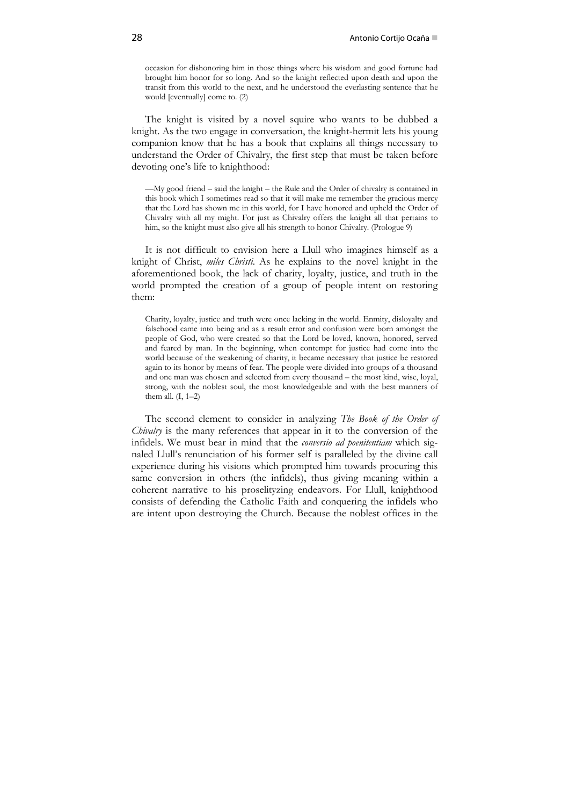occasion for dishonoring him in those things where his wisdom and good fortune had brought him honor for so long. And so the knight reflected upon death and upon the transit from this world to the next, and he understood the everlasting sentence that he would [eventually] come to. (2)

The knight is visited by a novel squire who wants to be dubbed a knight. As the two engage in conversation, the knight-hermit lets his young companion know that he has a book that explains all things necessary to understand the Order of Chivalry, the first step that must be taken before devoting one's life to knighthood:

—My good friend – said the knight – the Rule and the Order of chivalry is contained in this book which I sometimes read so that it will make me remember the gracious mercy that the Lord has shown me in this world, for I have honored and upheld the Order of Chivalry with all my might. For just as Chivalry offers the knight all that pertains to him, so the knight must also give all his strength to honor Chivalry. (Prologue 9)

It is not difficult to envision here a Llull who imagines himself as a knight of Christ, *miles Christi*. As he explains to the novel knight in the aforementioned book, the lack of charity, loyalty, justice, and truth in the world prompted the creation of a group of people intent on restoring them:

Charity, loyalty, justice and truth were once lacking in the world. Enmity, disloyalty and falsehood came into being and as a result error and confusion were born amongst the people of God, who were created so that the Lord be loved, known, honored, served and feared by man. In the beginning, when contempt for justice had come into the world because of the weakening of charity, it became necessary that justice be restored again to its honor by means of fear. The people were divided into groups of a thousand and one man was chosen and selected from every thousand – the most kind, wise, loyal, strong, with the noblest soul, the most knowledgeable and with the best manners of them all.  $(I, 1-2)$ 

The second element to consider in analyzing *The Book of the Order of Chivalry* is the many references that appear in it to the conversion of the infidels. We must bear in mind that the *conversio ad poenitentiam* which signaled Llull's renunciation of his former self is paralleled by the divine call experience during his visions which prompted him towards procuring this same conversion in others (the infidels), thus giving meaning within a coherent narrative to his proselityzing endeavors. For Llull, knighthood consists of defending the Catholic Faith and conquering the infidels who are intent upon destroying the Church. Because the noblest offices in the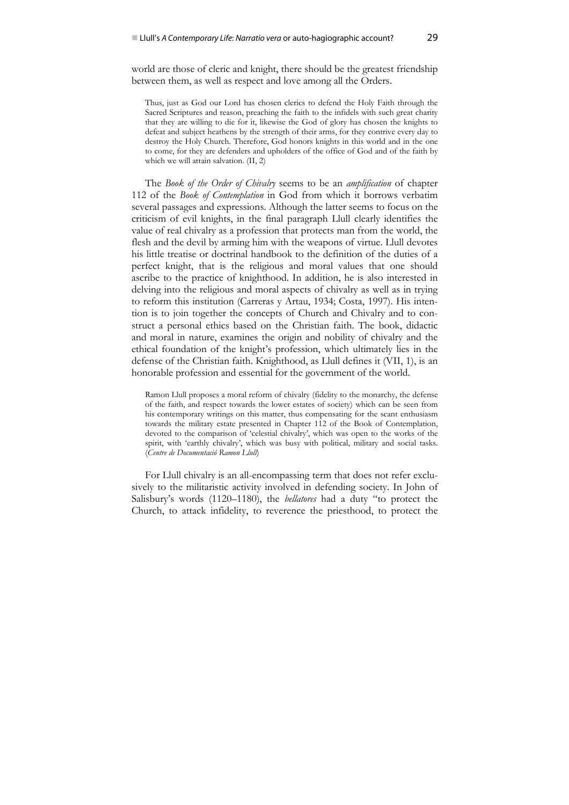world are those of cleric and knight, there should be the greatest friendship between them, as well as respect and love among all the Orders.

Thus, just as God our Lord has chosen clerics to defend the Holy Faith through the Sacred Scriptures and reason, preaching the faith to the infidels with such great charity that they are willing to die for it, likewise the God of glory has chosen the knights to defeat and subject heathens by the strength of their arms, for they contrive every day to destroy the Holy Church. Therefore, God honors knights in this world and in the one to come, for they are defenders and upholders of the office of God and of the faith by which we will attain salvation. (II, 2)

The *Book of the Order of Chivalry* seems to be an *amplification* of chapter 112 of the *Book of Contemplation* in God from which it borrows verbatim several passages and expressions. Although the latter seems to focus on the criticism of evil knights, in the final paragraph Llull clearly identifies the value of real chivalry as a profession that protects man from the world, the flesh and the devil by arming him with the weapons of virtue. Llull devotes his little treatise or doctrinal handbook to the definition of the duties of a perfect knight, that is the religious and moral values that one should ascribe to the practice of knighthood. In addition, he is also interested in delving into the religious and moral aspects of chivalry as well as in trying to reform this institution (Carreras y Artau, 1934; Costa, 1997). His intention is to join together the concepts of Church and Chivalry and to construct a personal ethics based on the Christian faith. The book, didactic and moral in nature, examines the origin and nobility of chivalry and the ethical foundation of the knight's profession, which ultimately lies in the defense of the Christian faith. Knighthood, as Llull defines it (VII, 1), is an honorable profession and essential for the government of the world.

Ramon Llull proposes a moral reform of chivalry (fidelity to the monarchy, the defense of the faith, and respect towards the lower estates of society) which can be seen from his contemporary writings on this matter, thus compensating for the scant enthusiasm towards the military estate presented in Chapter 112 of the Book of Contemplation, devoted to the comparison of 'celestial chivalry', which was open to the works of the spirit, with 'earthly chivalry', which was busy with political, military and social tasks. (*Centre de Documentació Ramon Llull*)

For Llull chivalry is an all-encompassing term that does not refer exclusively to the militaristic activity involved in defending society. In John of Salisbury's words (1120–1180), the *bellatores* had a duty "to protect the Church, to attack infidelity, to reverence the priesthood, to protect the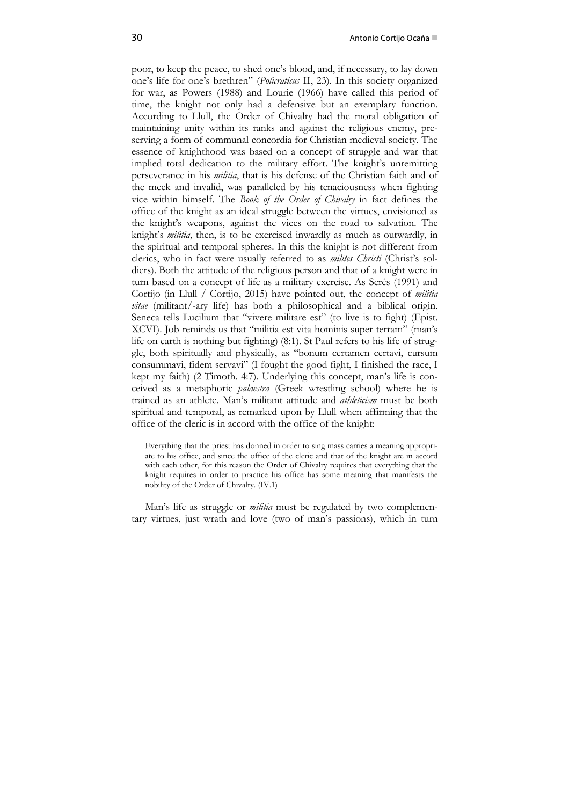poor, to keep the peace, to shed one's blood, and, if necessary, to lay down one's life for one's brethren" (*Policraticus* II, 23). In this society organized for war, as Powers (1988) and Lourie (1966) have called this period of time, the knight not only had a defensive but an exemplary function. According to Llull, the Order of Chivalry had the moral obligation of maintaining unity within its ranks and against the religious enemy, preserving a form of communal concordia for Christian medieval society. The essence of knighthood was based on a concept of struggle and war that implied total dedication to the military effort. The knight's unremitting perseverance in his *militia*, that is his defense of the Christian faith and of the meek and invalid, was paralleled by his tenaciousness when fighting vice within himself. The *Book of the Order of Chivalry* in fact defines the office of the knight as an ideal struggle between the virtues, envisioned as the knight's weapons, against the vices on the road to salvation. The knight's *militia*, then, is to be exercised inwardly as much as outwardly, in the spiritual and temporal spheres. In this the knight is not different from clerics, who in fact were usually referred to as *milites Christi* (Christ's soldiers). Both the attitude of the religious person and that of a knight were in turn based on a concept of life as a military exercise. As Serés (1991) and Cortijo (in Llull / Cortijo, 2015) have pointed out, the concept of *militia vitae* (militant/-ary life) has both a philosophical and a biblical origin. Seneca tells Lucilium that "vivere militare est" (to live is to fight) (Epist. XCVI). Job reminds us that "militia est vita hominis super terram" (man's life on earth is nothing but fighting) (8:1). St Paul refers to his life of struggle, both spiritually and physically, as "bonum certamen certavi, cursum consummavi, fidem servavi" (I fought the good fight, I finished the race, I kept my faith) (2 Timoth. 4:7). Underlying this concept, man's life is conceived as a metaphoric *palaestra* (Greek wrestling school) where he is trained as an athlete. Man's militant attitude and *athleticism* must be both spiritual and temporal, as remarked upon by Llull when affirming that the office of the cleric is in accord with the office of the knight:

Everything that the priest has donned in order to sing mass carries a meaning appropriate to his office, and since the office of the cleric and that of the knight are in accord with each other, for this reason the Order of Chivalry requires that everything that the knight requires in order to practice his office has some meaning that manifests the nobility of the Order of Chivalry. (IV.1)

Man's life as struggle or *militia* must be regulated by two complementary virtues, just wrath and love (two of man's passions), which in turn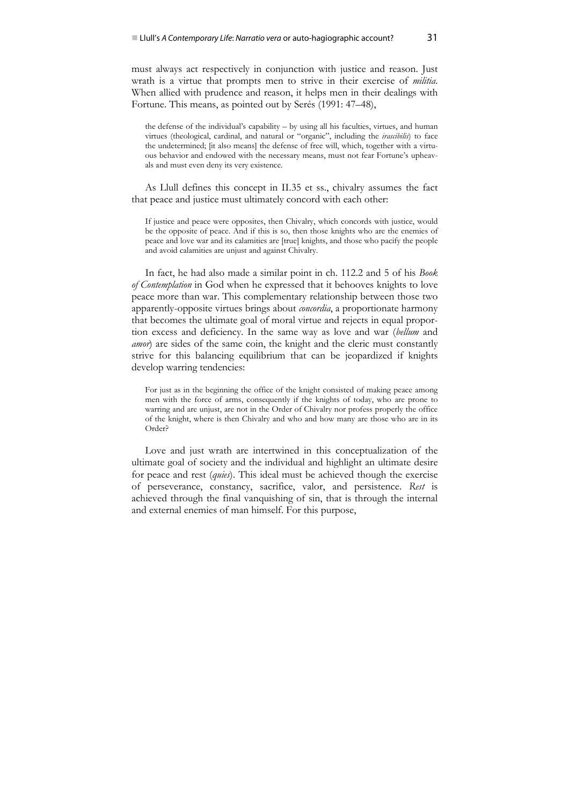must always act respectively in conjunction with justice and reason. Just wrath is a virtue that prompts men to strive in their exercise of *militia*. When allied with prudence and reason, it helps men in their dealings with Fortune. This means, as pointed out by Serés (1991: 47–48),

the defense of the individual's capability – by using all his faculties, virtues, and human virtues (theological, cardinal, and natural or "organic", including the *irascibilis*) to face the undetermined; [it also means] the defense of free will, which, together with a virtuous behavior and endowed with the necessary means, must not fear Fortune's upheavals and must even deny its very existence.

As Llull defines this concept in II.35 et ss., chivalry assumes the fact that peace and justice must ultimately concord with each other:

If justice and peace were opposites, then Chivalry, which concords with justice, would be the opposite of peace. And if this is so, then those knights who are the enemies of peace and love war and its calamities are [true] knights, and those who pacify the people and avoid calamities are unjust and against Chivalry.

In fact, he had also made a similar point in ch. 112.2 and 5 of his *Book of Contemplation* in God when he expressed that it behooves knights to love peace more than war. This complementary relationship between those two apparently-opposite virtues brings about *concordia*, a proportionate harmony that becomes the ultimate goal of moral virtue and rejects in equal proportion excess and deficiency. In the same way as love and war (*bellum* and *amor*) are sides of the same coin, the knight and the cleric must constantly strive for this balancing equilibrium that can be jeopardized if knights develop warring tendencies:

For just as in the beginning the office of the knight consisted of making peace among men with the force of arms, consequently if the knights of today, who are prone to warring and are unjust, are not in the Order of Chivalry nor profess properly the office of the knight, where is then Chivalry and who and how many are those who are in its Order?

Love and just wrath are intertwined in this conceptualization of the ultimate goal of society and the individual and highlight an ultimate desire for peace and rest (*quies*). This ideal must be achieved though the exercise of perseverance, constancy, sacrifice, valor, and persistence. *Rest* is achieved through the final vanquishing of sin, that is through the internal and external enemies of man himself. For this purpose,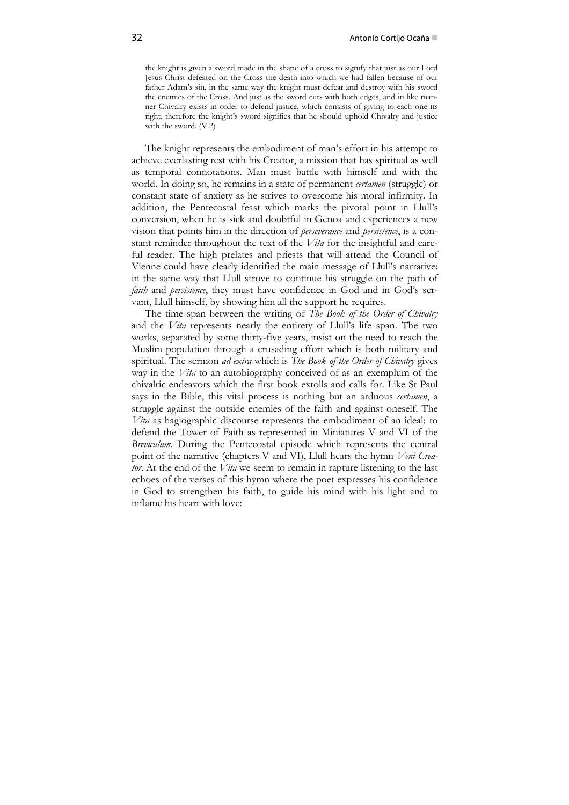the knight is given a sword made in the shape of a cross to signify that just as our Lord Jesus Christ defeated on the Cross the death into which we had fallen because of our father Adam's sin, in the same way the knight must defeat and destroy with his sword the enemies of the Cross. And just as the sword cuts with both edges, and in like manner Chivalry exists in order to defend justice, which consists of giving to each one its right, therefore the knight's sword signifies that he should uphold Chivalry and justice with the sword. (V.2)

The knight represents the embodiment of man's effort in his attempt to achieve everlasting rest with his Creator, a mission that has spiritual as well as temporal connotations. Man must battle with himself and with the world. In doing so, he remains in a state of permanent *certamen* (struggle) or constant state of anxiety as he strives to overcome his moral infirmity. In addition, the Pentecostal feast which marks the pivotal point in Llull's conversion, when he is sick and doubtful in Genoa and experiences a new vision that points him in the direction of *perseverance* and *persistence*, is a constant reminder throughout the text of the *Vita* for the insightful and careful reader. The high prelates and priests that will attend the Council of Vienne could have clearly identified the main message of Llull's narrative: in the same way that Llull strove to continue his struggle on the path of *faith* and *persistence*, they must have confidence in God and in God's servant, Llull himself, by showing him all the support he requires.

The time span between the writing of *The Book of the Order of Chivalry* and the *Vita* represents nearly the entirety of Llull's life span. The two works, separated by some thirty-five years, insist on the need to reach the Muslim population through a crusading effort which is both military and spiritual. The sermon *ad extra* which is *The Book of the Order of Chivalry* gives way in the *Vita* to an autobiography conceived of as an exemplum of the chivalric endeavors which the first book extolls and calls for. Like St Paul says in the Bible, this vital process is nothing but an arduous *certamen*, a struggle against the outside enemies of the faith and against oneself. The *Vita* as hagiographic discourse represents the embodiment of an ideal: to defend the Tower of Faith as represented in Miniatures V and VI of the *Breviculum*. During the Pentecostal episode which represents the central point of the narrative (chapters V and VI), Llull hears the hymn *Veni Creator*. At the end of the *Vita* we seem to remain in rapture listening to the last echoes of the verses of this hymn where the poet expresses his confidence in God to strengthen his faith, to guide his mind with his light and to inflame his heart with love: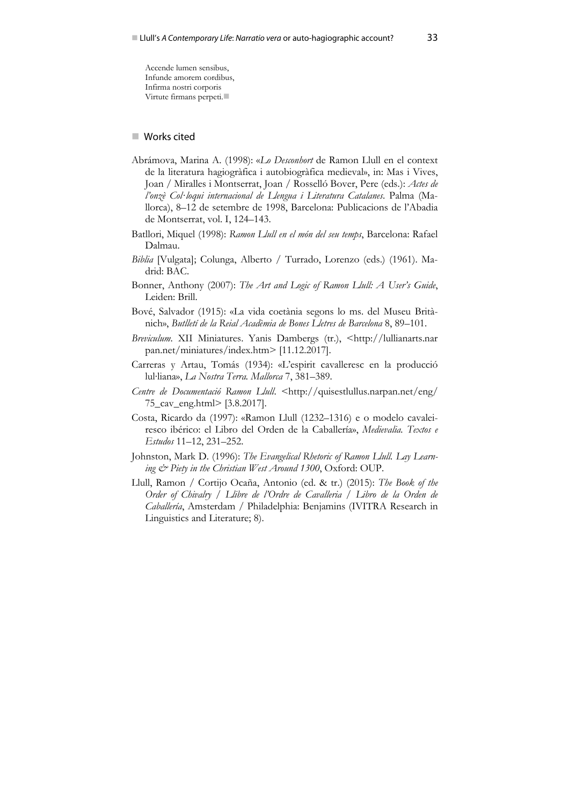Accende lumen sensibus, Infunde amorem cordibus, Infirma nostri corporis Virtute firmans perpeti.

## ■ Works cited

- Abrámova, Marina A. (1998): «*Lo Desconhort* de Ramon Llull en el context de la literatura hagiogràfica i autobiogràfica medieval», in: Mas i Vives, Joan / Miralles i Montserrat, Joan / Rosselló Bover, Pere (eds.): *Actes de l'onzè Col∙loqui internacional de Llengua i Literatura Catalanes*. Palma (Mallorca), 8–12 de setembre de 1998, Barcelona: Publicacions de l'Abadia de Montserrat, vol. I, 124–143.
- Batllori, Miquel (1998): *Ramon Llull en el món del seu temps*, Barcelona: Rafael Dalmau.
- *Biblia* [Vulgata]; Colunga, Alberto / Turrado, Lorenzo (eds.) (1961). Madrid: BAC.
- Bonner, Anthony (2007): *The Art and Logic of Ramon Llull: A User's Guide*, Leiden: Brill.
- Bové, Salvador (1915): «La vida coetània segons lo ms. del Museu Britànich», *Butlletí de la Reial Acadèmia de Bones Lletres de Barcelona* 8, 89–101.
- *Breviculum*. XII Miniatures. Yanis Dambergs (tr.), <http://lullianarts.nar pan.net/miniatures/index.htm> [11.12.2017].
- Carreras y Artau, Tomás (1934): «L'espirit cavalleresc en la producció lul∙liana», *La Nostra Terra. Mallorca* 7, 381–389.
- *Centre de Documentació Ramon Llull*. <http://quisestlullus.narpan.net/eng/ 75\_cav\_eng.html> [3.8.2017].
- Costa, Ricardo da (1997): «Ramon Llull (1232–1316) e o modelo cavaleiresco ibérico: el Libro del Orden de la Caballería», *Medievalia. Textos e Estudos* 11–12, 231–252.
- Johnston, Mark D. (1996): *The Evangelical Rhetoric of Ramon Llull. Lay Learning & Piety in the Christian West Around 1300*, Oxford: OUP.
- Llull, Ramon / Cortijo Ocaña, Antonio (ed. & tr.) (2015): *The Book of the Order of Chivalry / Llibre de l'Ordre de Cavalleria / Libro de la Orden de Caballería*, Amsterdam / Philadelphia: Benjamins (IVITRA Research in Linguistics and Literature; 8).